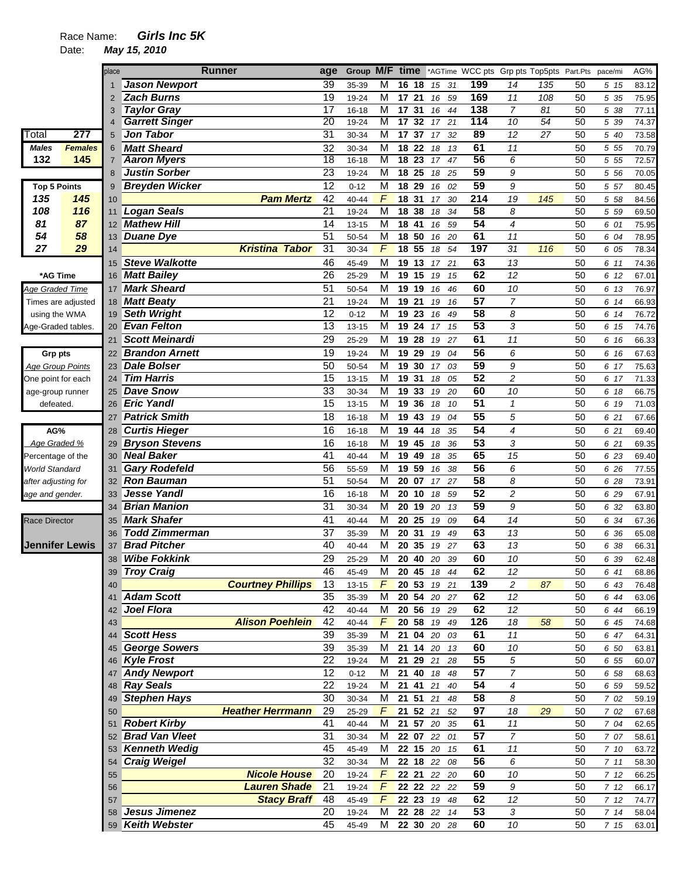|                         |                       | place          |                       | <b>Runner</b>            | age             | Group M/F      |                         | time            |                 |                |          |                 |                | *AGTime WCC pts Grp pts Top5pts Part.Pts |          | pace/mi      | AG%            |
|-------------------------|-----------------------|----------------|-----------------------|--------------------------|-----------------|----------------|-------------------------|-----------------|-----------------|----------------|----------|-----------------|----------------|------------------------------------------|----------|--------------|----------------|
|                         |                       |                | <b>Jason Newport</b>  |                          | 39              | 35-39          | M                       |                 | 16 18           | 15             | 31       | 199             | 14             | 135                                      | 50       | 5 15         | 83.12          |
|                         |                       | $\overline{2}$ | <b>Zach Burns</b>     |                          | 19              | 19-24          | M                       | 17              | 21              | 16             | 59       | 169             | 11             | 108                                      | 50       | 5 35         | 75.95          |
|                         |                       | 3              | <b>Taylor Gray</b>    |                          | 17              | $16 - 18$      | M                       | 17              | 31              | 16             | 44       | 138             | $\overline{7}$ | 81                                       | 50       | 5 38         | 77.11          |
|                         |                       | $\overline{4}$ | <b>Garrett Singer</b> |                          | $\overline{20}$ | 19-24          | М                       | 17              | 32              | 17             | 21       | 114             | 10             | 54                                       | 50       | 5 39         | 74.37          |
| Total                   | $\overline{277}$      | 5              | <b>Jon Tabor</b>      |                          | $\overline{31}$ | 30-34          | M                       | 17              | 37              | 17             | 32       | 89              | 12             | 27                                       | 50       | 5 40         | 73.58          |
| <b>Males</b>            | <b>Females</b>        | 6              | <b>Matt Sheard</b>    |                          | 32              | 30-34          | M                       |                 | 18 22           | 18             | 13       | 61              | 11             |                                          | 50       | 5 5 5        | 70.79          |
| 132                     | 145                   | 7              | <b>Aaron Myers</b>    |                          | $\overline{18}$ | $16 - 18$      | M                       | $\overline{18}$ | $\overline{23}$ | 17             | 47       | 56              | 6              |                                          | 50       | 5 5 5        | 72.57          |
|                         |                       | 8              | <b>Justin Sorber</b>  |                          | 23              | 19-24          | M                       | 18              | 25              | 18             | 25       | 59              | 9              |                                          | 50       | 5 56         | 70.05          |
| <b>Top 5 Points</b>     |                       | 9              | <b>Breyden Wicker</b> |                          | $\overline{12}$ | $0 - 12$       | M                       | 18              | 29              | 16             | 02       | 59              | 9              |                                          | 50       | 5 57         | 80.45          |
| 135                     | 145                   |                |                       | <b>Pam Mertz</b>         | 42              |                | F                       | 18              | 31              |                | 30       | 214             | 19             |                                          | 50       |              |                |
|                         | 116                   | 10             |                       |                          | $\overline{21}$ | 40-44          |                         |                 |                 | 17             |          | 58              | 8              | 145                                      |          | 5 58         | 84.56          |
| 108                     |                       | 11             | Logan Seals           |                          |                 | 19-24          | M                       | 18              | 38              | 18             | 34       |                 |                |                                          | 50       | 5 5 9        | 69.50          |
| 81                      | 87                    | 12             | <b>Mathew Hill</b>    |                          | 14              | $13 - 15$      | M                       | 18              | 41              | 16             | 59       | $\overline{54}$ | 4              |                                          | 50       | 6 01         | 75.95          |
| 54                      | 58                    | 13             | <b>Duane Dye</b>      |                          | 51              | 50-54          | M                       |                 | 18 50           | 16             | 20       | 61              | 11             |                                          | 50       | 6 04         | 78.95          |
| 27                      | 29                    | 14             |                       | <b>Kristina Tabor</b>    | 31              | 30-34          | F                       |                 | 18 55           | 18             | 54       | 197             | 31             | 116                                      | 50       | 6 05         | 78.34          |
|                         |                       | 15             | <b>Steve Walkotte</b> |                          | 46              | 45-49          | М                       |                 | 19 13           | 17             | 21       | 63              | 13             |                                          | 50       | 6 11         | 74.36          |
| *AG Time                |                       | 16             | <b>Matt Bailey</b>    |                          | 26              | 25-29          | M                       |                 | 19 15           | 19             | 15       | 62              | 12             |                                          | 50       | 6 12         | 67.01          |
| <b>Age Graded Time</b>  |                       | 17             | <b>Mark Sheard</b>    |                          | 51              | 50-54          | M                       |                 | 19 19           | 16             | 46       | 60              | 10             |                                          | 50       | 6 13         | 76.97          |
|                         | Times are adjusted    | 18             | <b>Matt Beaty</b>     |                          | $\overline{21}$ | 19-24          | M                       |                 | 19 21           | 19             | 16       | $\overline{57}$ | $\overline{7}$ |                                          | 50       | 6 14         | 66.93          |
| using the WMA           |                       | 19             | <b>Seth Wright</b>    |                          | 12              | $0 - 12$       | M                       |                 | 19 23           | 16             | 49       | $\overline{58}$ | 8              |                                          | 50       | 6 14         | 76.72          |
| Age-Graded tables.      |                       | 20             | <b>Evan Felton</b>    |                          | $\overline{13}$ | $13 - 15$      | M                       |                 | 19 24           | 17             | 15       | 53              | 3              |                                          | 50       | 6 15         | 74.76          |
|                         |                       | 21             | <b>Scott Meinardi</b> |                          | $\overline{29}$ | 25-29          | M                       |                 | 19 28           | 19             | 27       | 61              | 11             |                                          | 50       | 6 16         | 66.33          |
| Grp pts                 |                       | 22             | <b>Brandon Arnett</b> |                          | 19              | 19-24          | M                       |                 | 19 29           | 19             | 04       | $\overline{56}$ | 6              |                                          | 50       | 6 16         | 67.63          |
| <b>Age Group Points</b> |                       | 23             | <b>Dale Bolser</b>    |                          | $\overline{50}$ | 50-54          | M                       | 19              | 30              | 17             | 03       | 59              | 9              |                                          | 50       | 6 17         | 75.63          |
| One point for each      |                       | 24             | <b>Tim Harris</b>     |                          | 15              | $13 - 15$      | M                       | 19              | 31              | 18             | 05       | $\overline{52}$ | $\overline{c}$ |                                          | 50       | 6 17         | 71.33          |
| age-group runner        |                       | 25             | <b>Dave Snow</b>      |                          | $\overline{33}$ | 30-34          | M                       |                 | 19 33           | 19             | 20       | 60              | 10             |                                          | 50       | 6 18         | 66.75          |
| defeated.               |                       | 26             | <b>Eric Yandl</b>     |                          | $\overline{15}$ | $13 - 15$      | M                       | 19              | 36              | 18             | 10       | 51              | $\mathbf{1}$   |                                          | 50       | 6 19         | 71.03          |
|                         |                       |                | <b>Patrick Smith</b>  |                          | 18              |                | $\overline{\mathsf{M}}$ |                 | 19 43           |                | 04       | $\overline{55}$ | 5              |                                          | 50       |              |                |
|                         |                       | 27             |                       |                          |                 | $16 - 18$      |                         |                 |                 | 19             |          |                 |                |                                          |          | 6 21         | 67.66          |
| AG%                     |                       | 28             | <b>Curtis Hieger</b>  |                          | 16              | $16 - 18$      | M                       | 19              | 44              | 18             | 35       | $\overline{54}$ | 4              |                                          | 50       | 6 21         | 69.40          |
| Age Graded %            |                       | 29             | <b>Bryson Stevens</b> |                          | 16              | $16 - 18$      | M                       |                 | 19 45           | 18             | 36       | $\overline{53}$ | 3              |                                          | 50       | 6 21         | 69.35          |
| Percentage of the       |                       | 30             | <b>Neal Baker</b>     |                          | 41              | 40-44          | М                       |                 | 19 49           | 18             | 35       | 65              | 15             |                                          | 50       | 6 23         | 69.40          |
| World Standard          |                       | 31             | <b>Gary Rodefeld</b>  |                          | 56              | 55-59          | M                       |                 | 19 59           | 16             | 38       | 56              | 6              |                                          | 50       | 6 26         | 77.55          |
| after adjusting for     |                       | 32             | <b>Ron Bauman</b>     |                          | $\overline{51}$ | 50-54          | M                       |                 | 20 07           | 17             | 27       | 58              | 8              |                                          | 50       | 6 28         | 73.91          |
| age and gender.         |                       | 33             | <b>Jesse Yandl</b>    |                          | $\overline{16}$ | $16 - 18$      | $\overline{\mathsf{M}}$ |                 | 20 10           | 18             | 59       | 52              | $\overline{c}$ |                                          | 50       | 6 29         | 67.91          |
|                         |                       | 34             | <b>Brian Manion</b>   |                          | $\overline{31}$ | 30-34          | M                       |                 | 20 19           | 20             | 13       | 59              | 9              |                                          | 50       | 6 32         | 63.80          |
| <b>Race Director</b>    |                       | 35             | <b>Mark Shafer</b>    |                          | 41              | 40-44          | M                       | 20              | 25              | 19             | 09       | 64              | 14             |                                          | 50       | 6 34         | 67.36          |
|                         |                       | 36             | <b>Todd Zimmerman</b> |                          | 37              | 35-39          | M                       | 20              | 31              | 19             | 49       | 63              | 13             |                                          | 50       | 6 36         | 65.08          |
|                         | <b>Jennifer Lewis</b> | 37             | <b>Brad Pitcher</b>   |                          | 40              | 40-44          | M                       | 20              | 35              | 19             | 27       | 63              | 13             |                                          | 50       | 6 38         | 66.31          |
|                         |                       | 38             | <b>Wibe Fokkink</b>   |                          | 29              | 25-29          | М                       | 20              | 40              | 20             | 39       | 60              | 10             |                                          | 50       | 6 39         | 62.48          |
|                         |                       | 39             | <b>Troy Craig</b>     |                          | 46              | 45-49          | M                       |                 | 20 45           | 18             | 44       | 62              | 12             |                                          | 50       | 6 41         | 68.86          |
|                         |                       | 40             |                       | <b>Courtney Phillips</b> | $\overline{13}$ | $13 - 15$      | $\overline{F}$          |                 | $20\;\;53$      | 19 21          |          | 139             | $\overline{c}$ | 87                                       | 50       | 6 43         | 76.48          |
|                         |                       | 41             | <b>Adam Scott</b>     |                          | 35              | 35-39          | M                       |                 |                 | 20 54 20 27    |          | 62              | 12             |                                          | 50       | 6 44         | 63.06          |
|                         |                       | 42             | Joel Flora            |                          | 42              | 40-44          | M                       |                 | $20\;\;56$      | 19 29          |          | 62              | 12             |                                          | 50       | 6 44         | 66.19          |
|                         |                       | 43             |                       | <b>Alison Poehlein</b>   | 42              | 40-44          | F                       |                 | 20 58           | 19 49          |          | 126             | 18             | 58                                       | 50       | 6 45         | 74.68          |
|                         |                       | 44             | <b>Scott Hess</b>     |                          | 39              | 35-39          | M                       |                 | 21 04 20        |                | 03       | 61              | 11             |                                          | 50       | 6 47         | 64.31          |
|                         |                       |                | <b>George Sowers</b>  |                          | $\overline{39}$ | 35-39          | M                       |                 |                 | 21 14 20 13    |          | 60              | 10             |                                          | 50       | 6 50         | 63.81          |
|                         |                       | 46             | <b>Kyle Frost</b>     |                          | 22              | 19-24          | M                       | 21              |                 | 29 21 28       |          | 55              | $\sqrt{5}$     |                                          | 50       | 6 55         | 60.07          |
|                         |                       | 47             | <b>Andy Newport</b>   |                          | 12              | $0 - 12$       | M                       | 21              | 40              | 18             | 48       | 57              | $\overline{7}$ |                                          | 50       | 6 58         | 68.63          |
|                         |                       |                | <b>Ray Seals</b>      |                          | 22              |                | M                       | 21              | 41              |                |          | $\overline{54}$ | 4              |                                          |          |              |                |
|                         |                       | 48<br>49       | <b>Stephen Hays</b>   |                          | 30              | 19-24<br>30-34 | M                       |                 | 21 51           | 21<br>21       | 40<br>48 | $\overline{58}$ | 8              |                                          | 50<br>50 | 6 59<br>7 02 | 59.52<br>59.19 |
|                         |                       |                |                       | <b>Heather Herrmann</b>  | 29              |                | $\overline{F}$          |                 |                 |                |          | $\overline{97}$ |                |                                          |          |              |                |
|                         |                       | 50             |                       |                          |                 | 25-29          |                         |                 | 21 52 21        |                | 52       |                 | 18             | 29                                       | 50       | 7 02         | 67.68          |
|                         |                       | 51             | <b>Robert Kirby</b>   |                          | 41              | 40-44          | $\overline{M}$          |                 |                 | $21 \t57 \t20$ | 35       | 61              | 11             |                                          | 50       | 7 04         | 62.65          |
|                         |                       | 52             | <b>Brad Van Vleet</b> |                          | 31              | 30-34          | M                       |                 | $22 \t 07$      | 22             | 01       | $\overline{57}$ | $\overline{7}$ |                                          | 50       | 7 07         | 58.61          |
|                         |                       |                | <b>Kenneth Wedig</b>  |                          | 45              | 45-49          | M                       |                 |                 | 22 15 20 15    |          | 61              | 11             |                                          | 50       | 7 10         | 63.72          |
|                         |                       |                | 54 Craig Weigel       |                          | 32              | 30-34          | M                       |                 | 22 18 22        |                | 08       | 56              | 6              |                                          | 50       | 711          | 58.30          |
|                         |                       | 55             |                       | <b>Nicole House</b>      | 20              | 19-24          | $\overline{F}$          |                 |                 | 22 21 22 20    |          | 60              | 10             |                                          | 50       | 712          | 66.25          |
|                         |                       | 56             |                       | <b>Lauren Shade</b>      | 21              | 19-24          | $\digamma$              |                 |                 | 22 22 22 22    |          | 59              | 9              |                                          | 50       | 712          | 66.17          |
|                         |                       | 57             |                       | <b>Stacy Braff</b>       | 48              | 45-49          | F                       |                 |                 | 22 23 19 48    |          | 62              | 12             |                                          | 50       | 712          | 74.77          |
|                         |                       | 58             | Jesus Jimenez         |                          | 20              | 19-24          | M                       |                 | 22 28 22        |                | 14       | $\overline{53}$ | 3              |                                          | 50       | 714          | 58.04          |
|                         |                       |                | 59 Keith Webster      |                          | 45              | 45-49          | м                       |                 |                 | 22 30 20 28    |          | 60              | 10             |                                          | 50       | 7 15         | 63.01          |
|                         |                       |                |                       |                          |                 |                |                         |                 |                 |                |          |                 |                |                                          |          |              |                |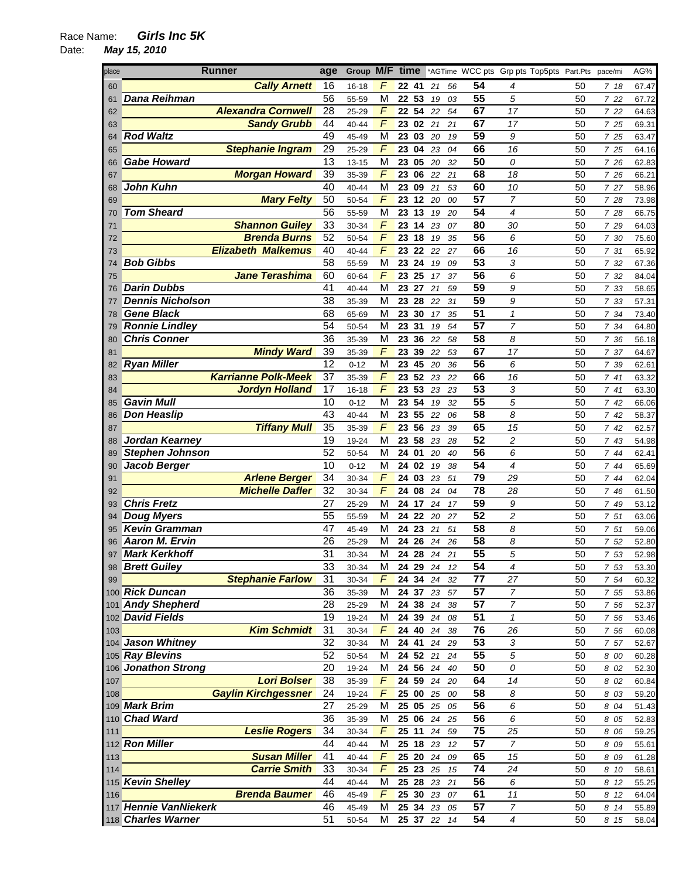| place | <b>Runner</b>                                 | age                   | Group M/F time                   |    |             |    |          |                 | *AGTime WCC pts Grp pts Top5pts Part.Pts pace/mi |          |              | AG%            |
|-------|-----------------------------------------------|-----------------------|----------------------------------|----|-------------|----|----------|-----------------|--------------------------------------------------|----------|--------------|----------------|
| 60    | <b>Cally Arnett</b>                           | 16                    | F<br>$16 - 18$                   |    | 22 41       | 21 | 56       | 54              | 4                                                | 50       | 718          | 67.47          |
| 61    | Dana Reihman                                  | 56                    | M<br>55-59                       |    | 22 53       | 19 | 03       | 55              | 5                                                | 50       | 7 22         | 67.72          |
| 62    | <b>Alexandra Cornwell</b>                     | 28                    | F<br>25-29                       |    | 22 54       | 22 | 54       | 67              | 17                                               | 50       | 7 22         | 64.63          |
| 63    | <b>Sandy Grubb</b>                            | 44                    | F<br>40-44                       |    | 23 02       | 21 | 21       | 67              | 17                                               | 50       | 7 25         | 69.31          |
| 64    | <b>Rod Waltz</b>                              | 49                    | M<br>45-49                       | 23 | 03          | 20 | 19       | 59              | 9                                                | 50       | 7 25         | 63.47          |
| 65    | <b>Stephanie Ingram</b>                       | 29                    | F<br>25-29                       | 23 | 04          | 23 | 04       | 66              | 16                                               | 50       | 7 25         | 64.16          |
| 66    | <b>Gabe Howard</b>                            | $\overline{13}$       | M<br>$13 - 15$                   |    | 23 05       | 20 | 32       | 50              | 0                                                | 50       | 7 26         | 62.83          |
| 67    | <b>Morgan Howard</b>                          | 39                    | $\sqrt{2}$<br>35-39              | 23 | 06          | 22 | 21       | 68              | 18                                               | 50       | 7 26         | 66.21          |
| 68    | John Kuhn                                     | 40                    | M<br>40-44                       |    | 23 09       | 21 | 53       | 60              | 10                                               | 50       | 7 27         | 58.96          |
| 69    | <b>Mary Felty</b>                             | 50                    | F<br>50-54                       |    | 23 12       | 20 | 00       | $\overline{57}$ | $\overline{7}$                                   | 50       | 7 28         | 73.98          |
| 70    | <b>Tom Sheard</b>                             | 56                    | M<br>55-59                       |    | 23 13       | 19 | 20       | 54              | 4                                                | 50       | 7 28         | 66.75          |
| 71    | <b>Shannon Guiley</b>                         | 33                    | F<br>30-34                       | 23 | 14          | 23 | 07       | 80              | 30                                               | 50       | 7 29         | 64.03          |
| 72    | <b>Brenda Burns</b>                           | 52                    | F<br>50-54                       | 23 | 18          | 19 | 35       | 56              | 6                                                | 50       | 7 30         | 75.60          |
| 73    | <b>Elizabeth Malkemus</b>                     | 40                    | F<br>40-44                       | 23 | 22          | 22 | 27       | 66              | 16                                               | 50       | 7 31         | 65.92          |
| 74    | <b>Bob Gibbs</b>                              | $\overline{58}$       | $\overline{\mathsf{M}}$<br>55-59 | 23 | 24          | 19 | 09       | 53              | 3                                                | 50       | 7 32         | 67.36          |
| 75    | <b>Jane Terashima</b>                         | 60                    | F<br>60-64                       |    | 23 25       | 17 | 37       | 56              | 6                                                | 50       | 7 32         | 84.04          |
| 76    | <b>Darin Dubbs</b>                            | 41                    | M<br>40-44                       | 23 | 27          | 21 | 59       | 59              | 9                                                | 50       | 7 33         | 58.65          |
| 77    | <b>Dennis Nicholson</b>                       | 38                    | М<br>35-39                       |    | 23 28       | 22 | 31       | 59              | 9                                                | 50       | 7 33         | 57.31          |
| 78    | <b>Gene Black</b>                             | 68                    | M<br>65-69                       |    | 23 30       | 17 | 35       | 51              | 1                                                | 50       | 7 34         | 73.40          |
| 79    | <b>Ronnie Lindley</b>                         | 54                    | M<br>50-54                       | 23 | 31          | 19 | 54       | $\overline{57}$ | 7                                                | 50       | 7 34         | 64.80          |
| 80    | <b>Chris Conner</b>                           | 36                    | M<br>35-39                       | 23 | 36          | 22 | 58       | 58              | 8                                                | 50       | 7 36         | 56.18          |
| 81    | <b>Mindy Ward</b>                             | $\overline{39}$       | F<br>35-39                       | 23 | 39          | 22 | 53       | 67              | 17                                               | 50       | 7 37         | 64.67          |
| 82    | <b>Ryan Miller</b>                            | $\overline{12}$       | M<br>$0 - 12$                    | 23 | 45          | 20 | 36       | 56              | 6                                                | 50       | 7 39         | 62.61          |
| 83    | <b>Karrianne Polk-Meek</b>                    | $\overline{37}$       | F<br>35-39                       | 23 | 52          | 23 | 22       | 66              | 16                                               | 50       | 741          | 63.32          |
| 84    | <b>Jordyn Holland</b>                         | $\overline{17}$       | $\overline{F}$<br>$16 - 18$      | 23 | 53          | 23 | 23       | 53              | 3                                                | 50       | 741          | 63.30          |
| 85    | <b>Gavin Mull</b>                             | 10                    | M<br>$0 - 12$                    |    | 23 54       | 19 | 32       | 55              | 5                                                | 50       | 742          | 66.06          |
| 86    | <b>Don Heaslip</b>                            | 43                    | M<br>40-44                       |    | 23 55       | 22 | 06       | 58              | 8                                                | 50       | 742          | 58.37          |
| 87    | <b>Tiffany Mull</b>                           | 35                    | $\sqrt{2}$<br>35-39              | 23 | 56          | 23 | 39       | 65              | 15                                               | 50       | 742          | 62.57          |
| 88    | Jordan Kearney                                | 19                    | M<br>19-24                       | 23 | 58          | 23 | 28       | 52              | 2                                                | 50       | 7 43         | 54.98          |
| 89    | <b>Stephen Johnson</b>                        | 52                    | M<br>50-54                       |    | 24 01       | 20 | 40       | $\overline{56}$ | 6                                                | 50       | 744          | 62.41          |
| 90    | Jacob Berger                                  | 10                    | M<br>$0 - 12$                    |    | 24 02       | 19 | 38       | 54              | 4                                                | 50       | 7 44         | 65.69          |
| 91    | <b>Arlene Berger</b>                          | $\overline{34}$       | F<br>30-34                       | 24 | 03          | 23 | 51       | 79              | 29                                               | 50       | 7 44         | 62.04          |
| 92    | <b>Michelle Dafler</b>                        | 32                    | F<br>30-34                       |    | 24 08       | 24 | 04       | $\overline{78}$ | 28                                               | 50       | 7 46         | 61.50          |
| 93    | <b>Chris Fretz</b>                            | 27                    | M<br>25-29                       | 24 | 17          | 24 | 17       | 59              | 9                                                | 50       | 7 49         | 53.12          |
| 94    | <b>Doug Myers</b>                             | 55                    | М<br>55-59                       | 24 | 22          | 20 | 27       | $\overline{52}$ | $\overline{c}$                                   | 50       | 7 51         | 63.06          |
| 95    | <b>Kevin Gramman</b>                          | 47<br>$\overline{26}$ | M<br>45-49                       |    | 24 23       | 21 | 51       | 58<br>58        | 8                                                | 50       | 7 51         | 59.06          |
| 96    | <b>Aaron M. Ervin</b><br><b>Mark Kerkhoff</b> | 31                    | М<br>25-29<br>М                  | 24 | 26<br>24 28 | 24 | 26       | 55              | 8<br>5                                           | 50<br>50 | 7 52         | 52.80          |
| 97    | 98 Brett Guiley                               | 33                    | 30-34<br>30-34<br>M              |    | 24 29 24    | 24 | 21<br>12 | 54              | 4                                                | 50       | 7 53<br>7 53 | 52.98          |
| 99    | <b>Stephanie Farlow</b>                       | 31                    | F<br>30-34                       |    | 24 34 24    |    | 32       | 77              | 27                                               | 50       | 7 54         | 53.30<br>60.32 |
|       | 100 Rick Duncan                               | 36                    | 35-39<br>М                       |    | 24 37 23    |    | 57       | 57              | 7                                                | 50       | 7 55         | 53.86          |
|       | 101 Andy Shepherd                             | $\overline{28}$       | М<br>25-29                       |    | 24 38 24    |    | 38       | 57              | $\overline{7}$                                   | 50       | 7 56         | 52.37          |
|       | 102 David Fields                              | 19                    | M<br>19-24                       |    | 24 39 24    |    | 08       | 51              | $\mathbf{1}$                                     | 50       | 7 56         | 53.46          |
| 103   | <b>Kim Schmidt</b>                            | 31                    | F<br>30-34                       |    | 24 40 24    |    | 38       | $\overline{76}$ | 26                                               | 50       | 7 56         | 60.08          |
|       | 104 Jason Whitney                             | 32                    | М<br>30-34                       |    | 24 41       | 24 | 29       | $\overline{53}$ | 3                                                | 50       | 7 57         | 52.67          |
|       | 105 Ray Blevins                               | 52                    | М<br>50-54                       |    | 24 52 21    |    | 24       | 55              | 5                                                | 50       | 8 00         | 60.28          |
|       | 106 Jonathon Strong                           | $\overline{20}$       | M<br>19-24                       |    | 24 56 24    |    | 40       | 50              | 0                                                | 50       | 8 0 2        | 52.30          |
| 107   | <b>Lori Bolser</b>                            | 38                    | F<br>35-39                       |    | 24 59       | 24 | 20       | 64              | 14                                               | 50       | 8 0 2        | 60.84          |
| 108   | <b>Gaylin Kirchgessner</b>                    | 24                    | F<br>19-24                       |    | 25 00       | 25 | 00       | 58              | 8                                                | 50       | 8 0 3        | 59.20          |
|       | 109 Mark Brim                                 | 27                    | М<br>25-29                       |    | 25 05 25    |    | 05       | 56              | 6                                                | 50       | 8 04         | 51.43          |
|       | 110 Chad Ward                                 | 36                    | 35-39<br>М                       |    | 25 06 24    |    | 25       | 56              | 6                                                | 50       | 8 0 5        | 52.83          |
| 111   | <b>Leslie Rogers</b>                          | $\overline{34}$       | F<br>30-34                       |    | 25 11       | 24 | 59       | 75              | 25                                               | 50       | 8 0 6        | 59.25          |
|       | 112 Ron Miller                                | 44                    | М<br>40-44                       |    | 25 18 23    |    | 12       | $\overline{57}$ | $\overline{7}$                                   | 50       | 8 09         | 55.61          |
| 113   | <b>Susan Miller</b>                           | 41                    | F<br>40-44                       |    | 25 20 24    |    | 09       | 65              | 15                                               | 50       | 8 09         | 61.28          |
| 114   | <b>Carrie Smith</b>                           | 33                    | F<br>30-34                       |    | 25 23       | 25 | 15       | 74              | 24                                               | 50       | 8 10         | 58.61          |
|       | 115 Kevin Shelley                             | 44                    | M<br>40-44                       |    | 25 28 23    |    | 21       | $\overline{56}$ | 6                                                | 50       | 8 12         | 55.25          |
| 116   | <b>Brenda Baumer</b>                          | 46                    | $\overline{F}$<br>45-49          |    | 25 30 23    |    | 07       | 61              | 11                                               | 50       | 8 12         | 64.04          |
|       | 117 Hennie VanNiekerk                         | 46                    | M<br>45-49                       |    | 25 34 23    |    | 05       | 57              | 7                                                | 50       | 8 14         | 55.89          |
|       | 118 Charles Warner                            | 51                    | М<br>50-54                       |    | 25 37 22    |    | 14       | 54              | 4                                                | 50       | 8 15         | 58.04          |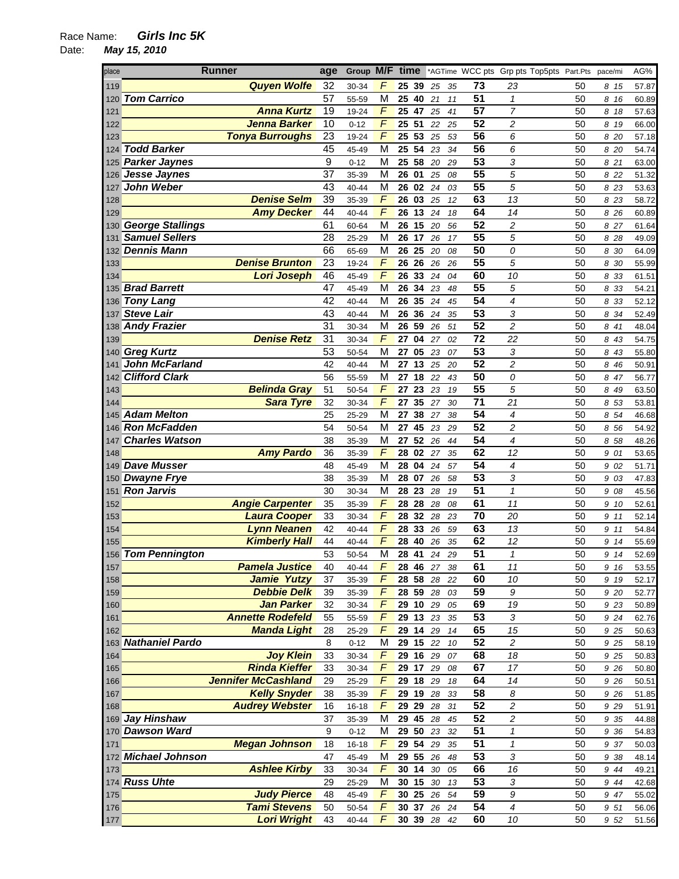| place | <b>Runner</b>              | age             | Group M/F time |                         |       |          |        |    |                 | *AGTime WCC pts Grp pts Top5pts Part.Pts |    | pace/mi | AG%   |
|-------|----------------------------|-----------------|----------------|-------------------------|-------|----------|--------|----|-----------------|------------------------------------------|----|---------|-------|
| 119   | <b>Quyen Wolfe</b>         | 32              | 30-34          | F                       | 25 39 |          | 25     | 35 | 73              | 23                                       | 50 | 8 15    | 57.87 |
| 120   | <b>Tom Carrico</b>         | 57              | 55-59          | M                       | 25 40 |          | 21     | 11 | 51              | $\mathbf{1}$                             | 50 | 8 16    | 60.89 |
| 121   | <b>Anna Kurtz</b>          | 19              | 19-24          | F                       | 25 47 |          | 25     | 41 | $\overline{57}$ | $\overline{7}$                           | 50 | 8 18    | 57.63 |
| 122   | <b>Jenna Barker</b>        | 10              | $0 - 12$       | F                       | 25 51 |          | 22     | 25 | $\overline{52}$ | $\overline{c}$                           | 50 | 8 19    | 66.00 |
| 123   | <b>Tonya Burroughs</b>     | 23              | 19-24          | $\overline{F}$          | 25    | 53       | 25     | 53 | 56              | 6                                        | 50 | 8 20    | 57.18 |
| 124   | <b>Todd Barker</b>         | 45              | 45-49          | M                       | 25    | 54       | 23     | 34 | 56              | 6                                        | 50 | 8 20    | 54.74 |
| 125   | <b>Parker Jaynes</b>       | $\overline{9}$  | $0 - 12$       | M                       | 25 58 |          | 20     | 29 | $\overline{53}$ | 3                                        | 50 | 8 21    | 63.00 |
| 126   | <b>Jesse Jaynes</b>        | 37              | 35-39          | M                       | 26    | 01       | 25     | 08 | 55              | 5                                        | 50 | 8 2 2   | 51.32 |
| 127   | John Weber                 | 43              | 40-44          | M                       | 26 02 |          | 24     | 03 | 55              | 5                                        | 50 | 8 2 3   | 53.63 |
| 128   | <b>Denise Selm</b>         | $\overline{39}$ | 35-39          | F                       | 26 03 |          | 25     | 12 | 63              | 13                                       | 50 | 8 2 3   | 58.72 |
| 129   | <b>Amy Decker</b>          | 44              | 40-44          | F                       | 26 13 |          | 24     | 18 | 64              | 14                                       | 50 | 8 26    | 60.89 |
| 130   | <b>George Stallings</b>    | 61              | 60-64          | M                       | 26    | 15       | 20     | 56 | $\overline{52}$ | $\overline{c}$                           | 50 | 8 27    | 61.64 |
| 131   | <b>Samuel Sellers</b>      | 28              | 25-29          | M                       | 26    | 17       | 26     | 17 | $\overline{55}$ | 5                                        | 50 | 8 2 8   | 49.09 |
| 132   | <b>Dennis Mann</b>         | 66              | 65-69          | M                       | 26    | 25       | 20     | 08 | $\overline{50}$ | 0                                        | 50 | 8 30    | 64.09 |
| 133   | <b>Denise Brunton</b>      | $\overline{23}$ | 19-24          | $\overline{F}$          | 26    | 26       | 26     | 26 | 55              | 5                                        | 50 | 8 30    | 55.99 |
| 134   | <b>Lori Joseph</b>         | 46              | 45-49          | $\sqrt{2}$              | 26 33 |          | 24     | 04 | 60              | 10                                       | 50 | 8 3 3   | 61.51 |
| 135   | <b>Brad Barrett</b>        | 47              | 45-49          | M                       | 26    | 34       | 23     | 48 | 55              | 5                                        | 50 | 8 33    | 54.21 |
| 136   | <b>Tony Lang</b>           | 42              | 40-44          | M                       | 26 35 |          | 24     | 45 | 54              | 4                                        | 50 | 8 3 3   | 52.12 |
| 137   | <b>Steve Lair</b>          | 43              | 40-44          | M                       | 26 36 |          | 24     | 35 | 53              | 3                                        | 50 | 8 34    | 52.49 |
| 138   | <b>Andy Frazier</b>        | 31              | 30-34          | M                       | 26 59 |          | 26     | 51 | $\overline{52}$ | $\overline{c}$                           | 50 | 8 41    | 48.04 |
| 139   | <b>Denise Retz</b>         | 31              | 30-34          | F                       | 27    | 04       | 27     | 02 | 72              | 22                                       | 50 | 8 43    | 54.75 |
|       | 140 Greg Kurtz             | $\overline{53}$ | 50-54          | M                       | 27    | 05       | 23     | 07 | $\overline{53}$ | 3                                        | 50 | 8 43    | 55.80 |
| 141   | John McFarland             | 42              | 40-44          | M                       | 27    | 13       | 25     | 20 | $\overline{52}$ | $\overline{c}$                           | 50 | 8 4 6   | 50.91 |
| 142   | <b>Clifford Clark</b>      | 56              | 55-59          | М                       | 27    | 18       | 22     | 43 | $\overline{50}$ | 0                                        | 50 | 8 47    | 56.77 |
| 143   | <b>Belinda Gray</b>        | 51              | 50-54          | $\overline{F}$          | 27    | 23       | 23     | 19 | 55              | 5                                        | 50 | 8 49    | 63.50 |
| 144   | <b>Sara Tyre</b>           | 32              | 30-34          | $\overline{F}$          | 27    | 35       | 27     | 30 | 71              | 21                                       | 50 | 8 53    | 53.81 |
|       | 145 Adam Melton            | 25              | 25-29          | $\overline{\mathsf{M}}$ | 27    | 38       | 27     | 38 | 54              | 4                                        | 50 | 8 54    | 46.68 |
| 146.  | <b>Ron McFadden</b>        | 54              | 50-54          | M                       | 27    | 45       | 23     | 29 | $\overline{52}$ | $\overline{c}$                           | 50 | 8 56    | 54.92 |
| 147   | <b>Charles Watson</b>      | 38              | 35-39          | M                       | 27    | 52       | 26     | 44 | 54              | 4                                        | 50 | 8 58    | 48.26 |
| 148   | <b>Amy Pardo</b>           | 36              | 35-39          | F                       | 28 02 |          | 27     | 35 | 62              | 12                                       | 50 | 9 01    | 53.65 |
| 149   | <b>Dave Musser</b>         | 48              | 45-49          | M                       | 28    | 04       | 24     | 57 | 54              | 4                                        | 50 | 9 02    | 51.71 |
| 150   | <b>Dwayne Frye</b>         | 38              | 35-39          | M                       | 28 07 |          | 26     | 58 | 53              | 3                                        | 50 | 9 03    | 47.83 |
| 151   | <b>Ron Jarvis</b>          | 30              | 30-34          | M                       | 28 23 |          | 28     | 19 | $\overline{51}$ | $\mathbf{1}$                             | 50 | 9 08    | 45.56 |
| 152   | <b>Angie Carpenter</b>     | 35              | 35-39          | F                       | 28    | 28       | 28     | 08 | 61              | 11                                       | 50 | 9 10    | 52.61 |
| 153   | <b>Laura Cooper</b>        | 33              | 30-34          | $\overline{F}$          | 28    | 32       | 28     | 23 | 70              | 20                                       | 50 | 9 11    | 52.14 |
| 154   | <b>Lynn Neanen</b>         | 42              | 40-44          | $\sqrt{2}$              | 28    | 33       | 26     | 59 | 63              | 13                                       | 50 | 9 11    | 54.84 |
| 155   | <b>Kimberly Hall</b>       | 44              | 40-44          | F                       | 28    | 40       | 26     | 35 | 62              | 12                                       | 50 | 9 14    | 55.69 |
|       | 156 Tom Pennington         | 53              | 50-54          | M                       | 28 41 |          | 24     | 29 | 51              | $\mathbf{1}$                             | 50 | 9 14    | 52.69 |
| 157   | <b>Pamela Justice</b>      | 40              | 40-44          | F                       |       | 28 46 27 |        | 38 | 61              | 11                                       | 50 | 9 16    | 53.55 |
| 158   | <b>Jamie Yutzy</b>         | 37              | 35-39          | F                       |       | 28 58    | 28     | 22 | 60              | 10                                       | 50 | 9 19    | 52.17 |
| 159   | <b>Debbie Delk</b>         | 39              | 35-39          | F                       |       | 28 59 28 |        | 03 | 59              | 9                                        | 50 | 9 20    | 52.77 |
| 160   | <b>Jan Parker</b>          | 32              | 30-34          | $\overline{F}$          |       | 29 10 29 |        | 05 | 69              | 19                                       | 50 | 9 23    | 50.89 |
| 161   | <b>Annette Rodefeld</b>    | 55              | 55-59          | F                       |       | 29 13 23 |        | 35 | 53              | 3                                        | 50 | 9 2 4   | 62.76 |
| 162   | <b>Manda Light</b>         | 28              | 25-29          | F                       |       | 29 14 29 |        | 14 | 65              | 15                                       | 50 | 9 25    | 50.63 |
|       | 163 Nathaniel Pardo        | $\,8\,$         | $0 - 12$       | M                       |       | 29 15 22 |        | 10 | $\overline{52}$ | $\overline{c}$                           | 50 | 9 25    | 58.19 |
| 164   | <b>Joy Klein</b>           | 33              | 30-34          | F                       |       | 29 16 29 |        | 07 | 68              | 18                                       | 50 | 9 25    | 50.83 |
| 165   | <b>Rinda Kieffer</b>       | 33              | 30-34          | $\overline{F}$          |       | 29 17 29 |        | 08 | 67              | 17                                       | 50 | 9 26    | 50.80 |
| 166   | <b>Jennifer McCashland</b> | 29              | 25-29          | F                       | 29 18 |          | 29     | 18 | 64              | 14                                       | 50 | 9 26    | 50.51 |
| 167   | <b>Kelly Snyder</b>        | 38              | 35-39          | $\sqrt{2}$              | 29 19 |          | 28     | 33 | 58              | 8                                        | 50 | 9 26    | 51.85 |
| 168   | <b>Audrey Webster</b>      | 16              | $16 - 18$      | F                       | 29 29 |          | 28     | 31 | 52              | $\overline{\mathbf{c}}$                  | 50 | 9 2 9   | 51.91 |
|       | 169 Jay Hinshaw            | 37              | 35-39          | М                       |       | 29 45 28 |        | 45 | 52              | 2                                        | 50 | 9 35    | 44.88 |
|       | 170 Dawson Ward            | 9               | $0 - 12$       | M                       |       | 29 50 23 |        | 32 | $\overline{51}$ | $\pmb{\mathcal{1}}$                      | 50 | 9 36    | 54.83 |
| 171   | <b>Megan Johnson</b>       | 18              | $16 - 18$      | F                       |       | 29 54 29 |        | 35 | $\overline{51}$ | $\pmb{\mathcal{1}}$                      | 50 | 9 37    | 50.03 |
|       | 172 Michael Johnson        | 47              | 45-49          | М                       |       | 29 55 26 |        | 48 | $\overline{53}$ | 3                                        | 50 | 9 38    | 48.14 |
| 173   | <b>Ashlee Kirby</b>        | 33              | 30-34          | F                       | 30 14 |          | $30\,$ | 05 | 66              | 16                                       | 50 | 9 44    | 49.21 |
|       | 174 Russ Uhte              | 29              | 25-29          | M                       | 30 15 |          | 30     | 13 | $\overline{53}$ | 3                                        | 50 | 9 4 4   | 42.68 |
| 175   | <b>Judy Pierce</b>         | 48              | 45-49          | $\overline{F}$          |       | 30 25 26 |        | 54 | 59              | 9                                        | 50 | 9 47    | 55.02 |
| 176   | <b>Tami Stevens</b>        | 50              | 50-54          | $\overline{F}$          |       | 30 37 26 |        | 24 | 54              | 4                                        | 50 | 9 51    | 56.06 |
| 177   | <b>Lori Wright</b>         | 43              | 40-44          | F                       |       | 30 39 28 |        | 42 | 60              | 10                                       | 50 | 9 52    | 51.56 |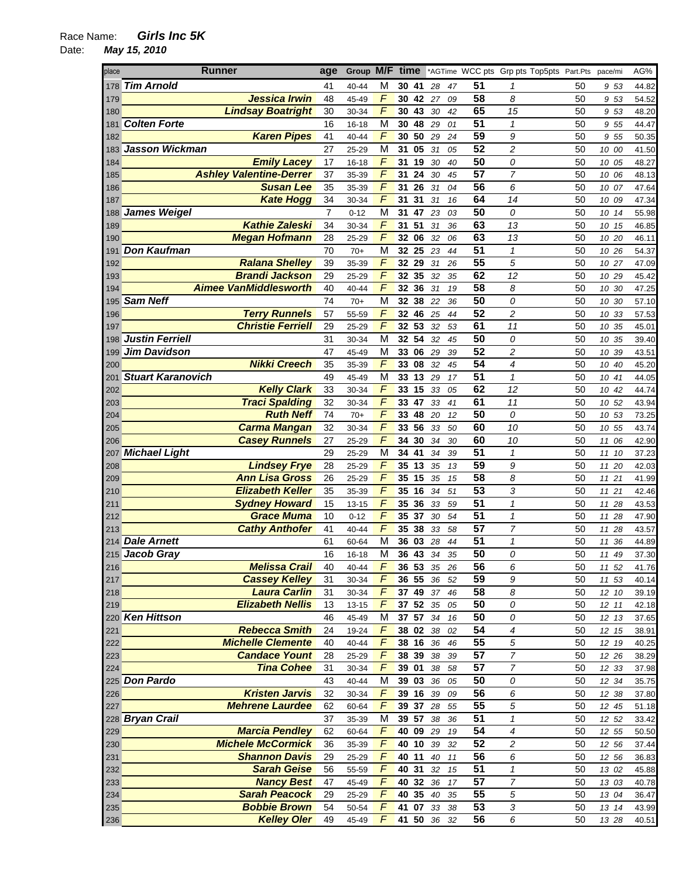| place | <b>Runner</b>                  | age | Group M/F |                | time |          |    |          |                 | *AGTime WCC pts Grp pts Top5pts Part.Pts |    | pace/mi  | AG%   |
|-------|--------------------------------|-----|-----------|----------------|------|----------|----|----------|-----------------|------------------------------------------|----|----------|-------|
|       | 178 Tim Arnold                 | 41  | 40-44     | М              |      | 30 41    | 28 | 47       | 51              | 1                                        | 50 | 953      | 44.82 |
| 179   | Jessica Irwin                  | 48  | 45-49     | F              |      | 30 42    | 27 | 09       | 58              | 8                                        | 50 | 9 53     | 54.52 |
| 180   | <b>Lindsay Boatright</b>       | 30  | 30-34     | F              |      | 30 43    | 30 | 42       | 65              | 15                                       | 50 | 9 53     | 48.20 |
| 181   | <b>Colten Forte</b>            | 16  | $16 - 18$ | M              |      | 30 48    | 29 | 01       | $\overline{51}$ | $\mathbf{1}$                             | 50 | 9 55     | 44.47 |
| 182   | <b>Karen Pipes</b>             | 41  | 40-44     | F              | 30   | 50       | 29 | 24       | 59              | 9                                        | 50 | 9 55     | 50.35 |
|       | 183 Jasson Wickman             | 27  | 25-29     | M              | 31   | 05       | 31 | 05       | $\overline{52}$ | 2                                        | 50 | 10 00    | 41.50 |
| 184   | <b>Emily Lacey</b>             | 17  | $16 - 18$ | F              | 31   | 19       | 30 | 40       | 50              | 0                                        | 50 | 10 05    | 48.27 |
| 185   | <b>Ashley Valentine-Derrer</b> | 37  | 35-39     | $\overline{F}$ | 31   | 24       | 30 | 45       | $\overline{57}$ | $\overline{7}$                           | 50 | 10 06    | 48.13 |
| 186   | <b>Susan Lee</b>               | 35  | 35-39     | F              | 31   | 26       | 31 | 04       | 56              | 6                                        | 50 | 10 07    | 47.64 |
| 187   | <b>Kate Hogg</b>               | 34  | 30-34     | F              | 31   | 31       | 31 | 16       | 64              | 14                                       | 50 | 10 09    | 47.34 |
|       | 188 James Weigel               | 7   | $0 - 12$  | M              | 31   | 47       | 23 | 03       | 50              | 0                                        | 50 | 10 14    | 55.98 |
| 189   | <b>Kathie Zaleski</b>          | 34  | 30-34     | F              |      | 31 51    | 31 | 36       | 63              | 13                                       | 50 | 10 15    | 46.85 |
| 190   | <b>Megan Hofmann</b>           | 28  |           | F              |      | 32 06    | 32 |          | 63              | 13                                       | 50 |          |       |
|       | <b>Don Kaufman</b>             | 70  | 25-29     | M              |      | 32 25    |    | 06<br>44 | $\overline{51}$ | $\mathbf{1}$                             | 50 | 10 20    | 46.11 |
| 191   | <b>Ralana Shelley</b>          | 39  | $70+$     | F              |      | 32 29    | 23 |          | 55              | 5                                        | 50 | 10 26    | 54.37 |
| 192   | <b>Brandi Jackson</b>          |     | 35-39     | F              |      |          | 31 | 26       | 62              |                                          |    | 10 27    | 47.09 |
| 193   |                                | 29  | 25-29     | $\overline{F}$ | 32   | 35       | 32 | 35       |                 | 12                                       | 50 | 10 29    | 45.42 |
| 194   | <b>Aimee VanMiddlesworth</b>   | 40  | 40-44     |                |      | 32 36    | 31 | 19       | 58              | 8                                        | 50 | 10 30    | 47.25 |
|       | 195 Sam Neff                   | 74  | $70+$     | M              |      | 32 38    | 22 | 36       | 50              | 0                                        | 50 | 10 30    | 57.10 |
| 196   | <b>Terry Runnels</b>           | 57  | 55-59     | F              |      | 32 46    | 25 | 44       | 52              | $\overline{c}$                           | 50 | 10<br>33 | 57.53 |
| 197   | <b>Christie Ferriell</b>       | 29  | 25-29     | F              |      | 32 53    | 32 | 53       | 61              | 11                                       | 50 | 10 35    | 45.01 |
|       | 198 Justin Ferriell            | 31  | 30-34     | M              |      | 32 54    | 32 | 45       | 50              | 0                                        | 50 | 10 35    | 39.40 |
| 199   | Jim Davidson                   | 47  | 45-49     | М              |      | 33 06    | 29 | 39       | 52              | $\overline{c}$                           | 50 | 10 39    | 43.51 |
| 200   | <b>Nikki Creech</b>            | 35  | 35-39     | F              |      | 33 08    | 32 | 45       | $\overline{54}$ | $\overline{4}$                           | 50 | 10 40    | 45.20 |
| 201   | <b>Stuart Karanovich</b>       | 49  | 45-49     | M              |      | 33 13    | 29 | 17       | $\overline{51}$ | $\mathbf{1}$                             | 50 | 10 41    | 44.05 |
| 202   | <b>Kelly Clark</b>             | 33  | 30-34     | F              | 33   | 15       | 33 | 05       | 62              | 12                                       | 50 | 10 42    | 44.74 |
| 203   | <b>Traci Spalding</b>          | 32  | 30-34     | F              | 33   | 47       | 33 | 41       | 61              | 11                                       | 50 | 10 52    | 43.94 |
| 204   | <b>Ruth Neff</b>               | 74  | $70+$     | F              |      | 33 48    | 20 | 12       | 50              | 0                                        | 50 | 10 53    | 73.25 |
| 205   | <b>Carma Mangan</b>            | 32  | 30-34     | $\overline{F}$ |      | 33 56    | 33 | 50       | 60              | 10                                       | 50 | 10 55    | 43.74 |
| 206   | <b>Casey Runnels</b>           | 27  | 25-29     | F              | 34   | 30       | 34 | 30       | 60              | 10                                       | 50 | 06<br>11 | 42.90 |
|       | 207 Michael Light              | 29  | 25-29     | М              | 34   | 41       | 34 | 39       | $\overline{51}$ | $\mathbf{1}$                             | 50 | 11<br>10 | 37.23 |
| 208   | <b>Lindsey Frye</b>            | 28  | 25-29     | F              |      | 35 13    | 35 | 13       | 59              | 9                                        | 50 | 20<br>11 | 42.03 |
| 209   | <b>Ann Lisa Gross</b>          | 26  | 25-29     | F              |      | 35 15    | 35 | 15       | 58              | 8                                        | 50 | 11 21    | 41.99 |
| 210   | <b>Elizabeth Keller</b>        | 35  | 35-39     | F              |      | 35 16    | 34 | 51       | 53              | 3                                        | 50 | 11 21    | 42.46 |
| 211   | <b>Sydney Howard</b>           | 15  | 13-15     | F              | 35   | 36       | 33 | 59       | $\overline{51}$ | $\mathbf{1}$                             | 50 | 11 28    | 43.53 |
| 212   | <b>Grace Muma</b>              | 10  | $0 - 12$  | F              |      | 35 37    | 30 | 54       | $\overline{51}$ | $\mathbf{1}$                             | 50 | 11 28    | 47.90 |
| 213   | <b>Cathy Anthofer</b>          | 41  | 40-44     | F              | 35   | 38       | 33 | 58       | $\overline{57}$ | 7                                        | 50 | 11 28    | 43.57 |
|       | 214 Dale Arnett                | 61  | 60-64     | M              |      | 36 03    | 28 | 44       | 51              | $\mathbf{1}$                             | 50 | 11<br>36 | 44.89 |
|       | 215 Jacob Gray                 | 16  | $16 - 18$ | M              |      | 36 43    | 34 | 35       | 50              | 0                                        | 50 | 11 49    | 37.30 |
| 216   | <b>Melissa Crail</b>           | 40  | 40-44     | F              |      | 36 53    | 35 | 26       | 56              | 6                                        | 50 | 11 52    | 41.76 |
| 217   | <b>Cassey Kelley</b>           | 31  | 30-34     | F              |      | 36 55    | 36 | 52       | 59              | 9                                        | 50 | 11 53    | 40.14 |
| 218   | <b>Laura Carlin</b>            | 31  | 30-34     | F              |      | 37 49    | 37 | 46       | 58              | 8                                        | 50 | 12 10    | 39.19 |
| 219   | <b>Elizabeth Nellis</b>        | 13  | $13 - 15$ | F              |      | 37 52 35 |    | 05       | 50              | 0                                        | 50 | 12 11    | 42.18 |
|       | 220 Ken Hittson                | 46  | 45-49     | M              |      | 37 57 34 |    | 16       | $\overline{50}$ | 0                                        | 50 | 12 13    | 37.65 |
| 221   | <b>Rebecca Smith</b>           | 24  | 19-24     | F              |      | 38 02    | 38 | 02       | $\overline{54}$ | 4                                        | 50 | 12 15    | 38.91 |
| 222   | <b>Michelle Clemente</b>       | 40  | 40-44     | F              |      | 38 16    | 36 | 46       | $\overline{55}$ | 5                                        | 50 | 12 19    | 40.25 |
| 223   | <b>Candace Yount</b>           | 28  | 25-29     | $\sqrt{ }$     |      | 38 39    | 38 | 39       | $\overline{57}$ | 7                                        | 50 | 12 26    | 38.29 |
| 224   | <b>Tina Cohee</b>              | 31  | 30-34     | $\overline{F}$ |      | 39 01    | 38 | 58       | $\overline{57}$ | $\overline{7}$                           | 50 | 12 33    | 37.98 |
|       | 225 Don Pardo                  | 43  | 40-44     | M              |      | 39 03    | 36 | 05       | 50              | 0                                        | 50 | 12 34    | 35.75 |
| 226   | <b>Kristen Jarvis</b>          | 32  | 30-34     | F              |      | 39 16    | 39 | 09       | 56              | 6                                        | 50 | 12 38    | 37.80 |
| 227   | <b>Mehrene Laurdee</b>         | 62  | 60-64     | F              |      | 39 37    | 28 | 55       | 55              | 5                                        | 50 | 12 45    | 51.18 |
|       | 228 Bryan Crail                | 37  | 35-39     | M              |      | 39 57    | 38 | 36       | 51              | 1                                        | 50 | 12 52    | 33.42 |
| 229   | <b>Marcia Pendley</b>          | 62  | 60-64     | F              |      | 40 09 29 |    | 19       | $\overline{54}$ | 4                                        | 50 | 12 55    | 50.50 |
| 230   | <b>Michele McCormick</b>       | 36  | 35-39     | F              |      | 40 10    | 39 | 32       | $\overline{52}$ | $\boldsymbol{2}$                         | 50 | 12 56    | 37.44 |
| 231   | <b>Shannon Davis</b>           | 29  | 25-29     | $\digamma$     |      | 40 11    | 40 | 11       | $\overline{56}$ | 6                                        | 50 | 12 56    | 36.83 |
| 232   | <b>Sarah Geise</b>             | 56  | 55-59     | F              |      | 40 31    | 32 | 15       | $\overline{51}$ | $\mathbf{1}$                             | 50 | 13 02    | 45.88 |
| 233   | <b>Nancy Best</b>              | 47  | 45-49     | $\sqrt{ }$     |      | 40 32    | 36 | 17       | $\overline{57}$ | 7                                        | 50 | 13 03    | 40.78 |
|       | <b>Sarah Peacock</b>           | 29  |           | $\overline{F}$ |      | 40 35    |    |          | 55              | 5                                        | 50 |          |       |
| 234   |                                |     | 25-29     | $\overline{F}$ |      |          | 40 | 35       | $\overline{53}$ |                                          |    | 13 04    | 36.47 |
| 235   | <b>Bobbie Brown</b>            | 54  | 50-54     |                |      | 41 07    | 33 | 38       |                 | 3                                        | 50 | 13 14    | 43.99 |
| 236   | <b>Kelley Oler</b>             | 49  | 45-49     | F              |      | 41 50    | 36 | 32       | 56              | 6                                        | 50 | 13 28    | 40.51 |